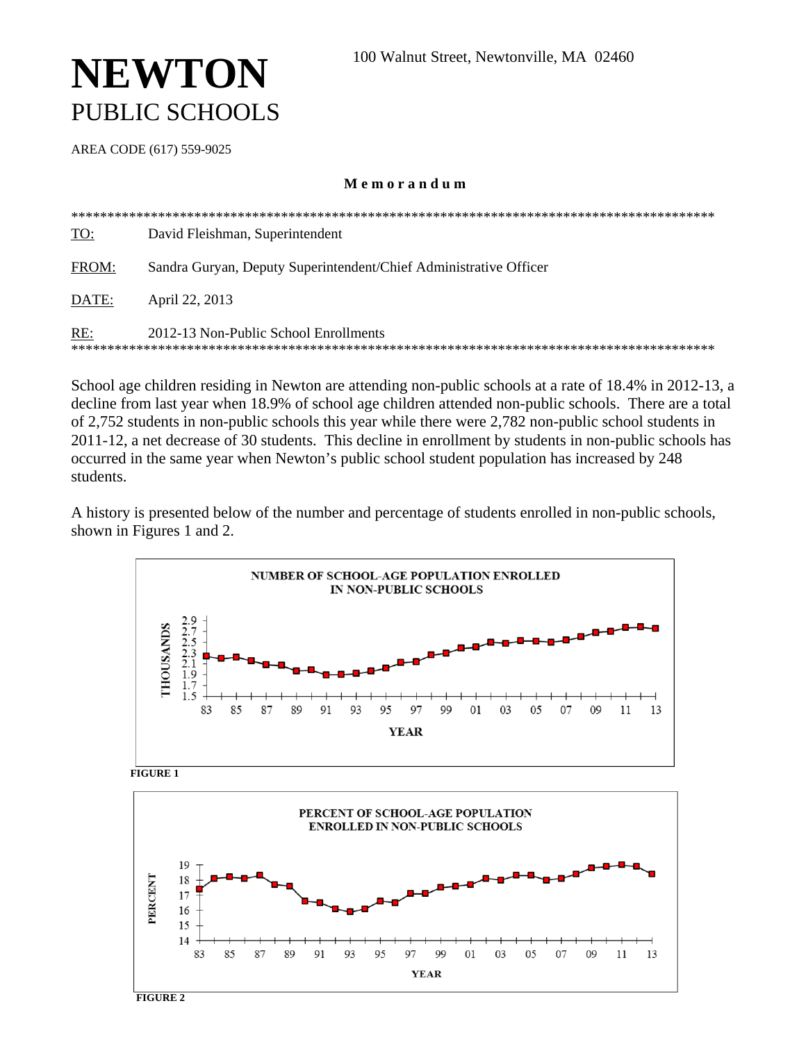# **NEWTON** PUBLIC SCHOOLS

AREA CODE (617) 559-9025

#### Memorandum

| <b>TO:</b> | David Fleishman, Superintendent                                   |  |  |  |  |  |  |  |
|------------|-------------------------------------------------------------------|--|--|--|--|--|--|--|
| FROM:      | Sandra Guryan, Deputy Superintendent/Chief Administrative Officer |  |  |  |  |  |  |  |
| DATE:      | April 22, 2013                                                    |  |  |  |  |  |  |  |
| RE:        | 2012-13 Non-Public School Enrollments                             |  |  |  |  |  |  |  |

School age children residing in Newton are attending non-public schools at a rate of 18.4% in 2012-13, a decline from last year when 18.9% of school age children attended non-public schools. There are a total of 2,752 students in non-public schools this year while there were 2,782 non-public school students in 2011-12, a net decrease of 30 students. This decline in enrollment by students in non-public schools has occurred in the same year when Newton's public school student population has increased by 248 students.

A history is presented below of the number and percentage of students enrolled in non-public schools, shown in Figures 1 and 2.



 $FIGURE 1$ 

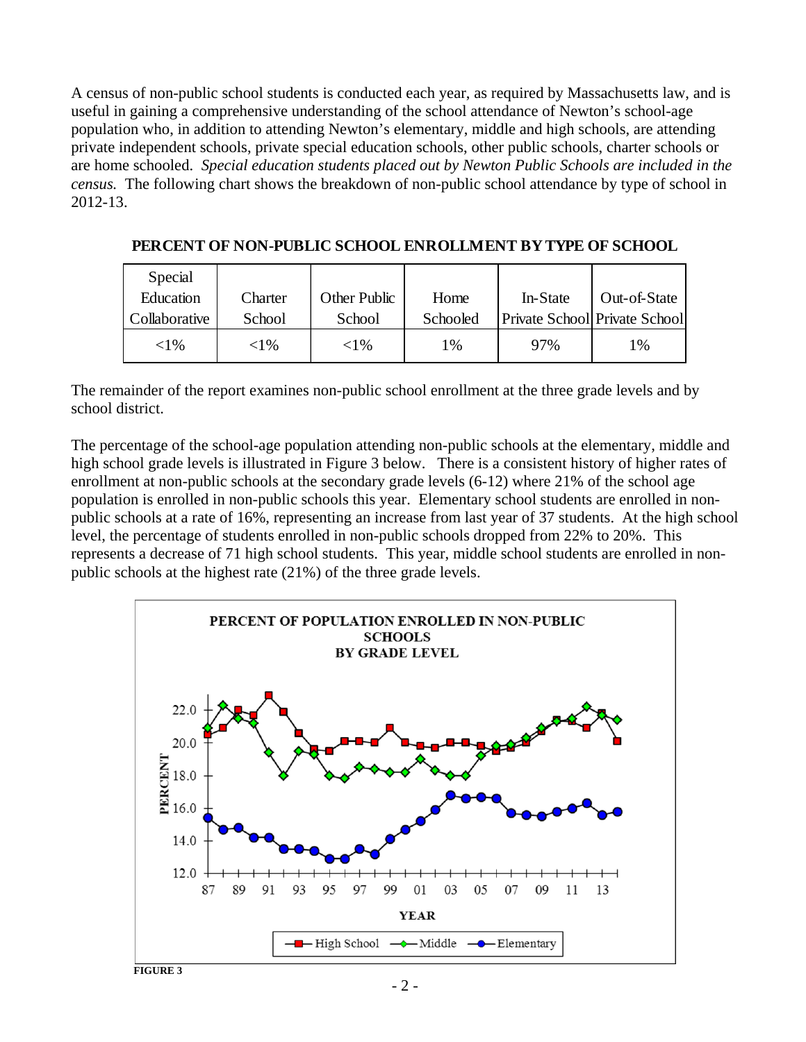A census of non-public school students is conducted each year, as required by Massachusetts law, and is useful in gaining a comprehensive understanding of the school attendance of Newton's school-age population who, in addition to attending Newton's elementary, middle and high schools, are attending private independent schools, private special education schools, other public schools, charter schools or are home schooled. *Special education students placed out by Newton Public Schools are included in the census.* The following chart shows the breakdown of non-public school attendance by type of school in 2012-13.

| Special       |          |              |          |          |                               |
|---------------|----------|--------------|----------|----------|-------------------------------|
| Education     | Charter  | Other Public | Home     | In-State | Out-of-State                  |
| Collaborative | School   | School       | Schooled |          | Private School Private School |
| $<$ 1 %       | ${<}1\%$ | ${<}1\%$     | 1%       | 97%      | 1%                            |

**PERCENT OF NON-PUBLIC SCHOOL ENROLLMENT BY TYPE OF SCHOOL**

The remainder of the report examines non-public school enrollment at the three grade levels and by school district.

The percentage of the school-age population attending non-public schools at the elementary, middle and high school grade levels is illustrated in Figure 3 below. There is a consistent history of higher rates of enrollment at non-public schools at the secondary grade levels (6-12) where 21% of the school age population is enrolled in non-public schools this year. Elementary school students are enrolled in nonpublic schools at a rate of 16%, representing an increase from last year of 37 students. At the high school level, the percentage of students enrolled in non-public schools dropped from 22% to 20%. This represents a decrease of 71 high school students. This year, middle school students are enrolled in nonpublic schools at the highest rate (21%) of the three grade levels.

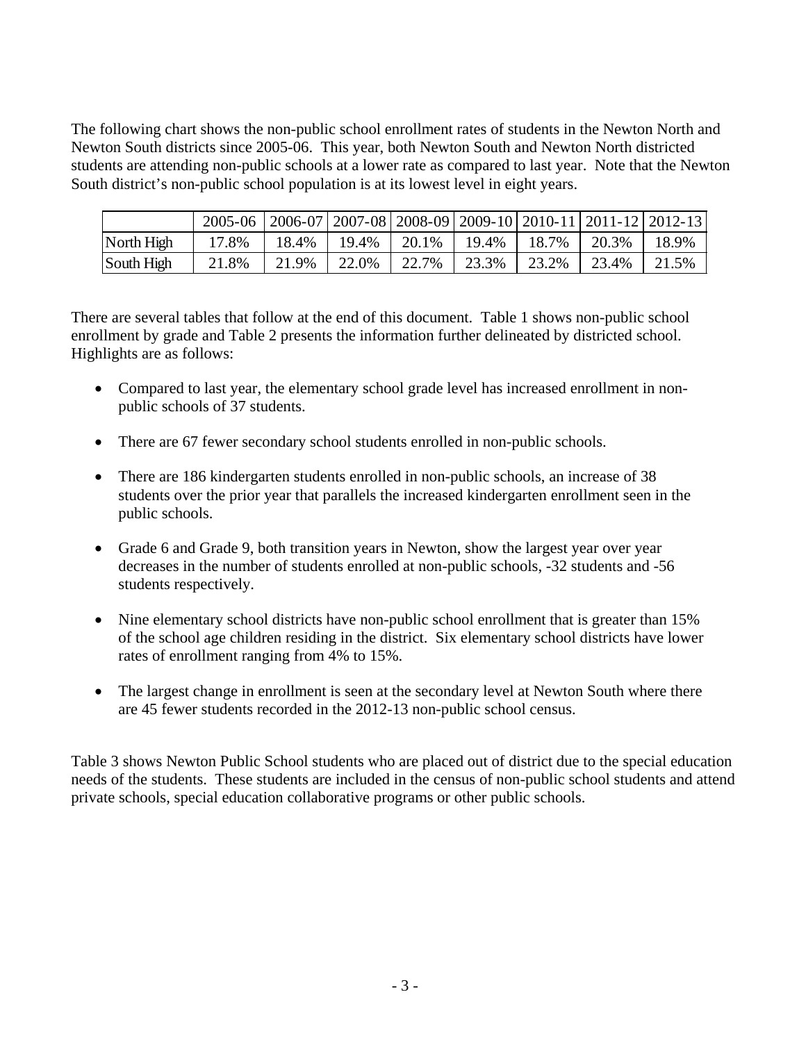The following chart shows the non-public school enrollment rates of students in the Newton North and Newton South districts since 2005-06. This year, both Newton South and Newton North districted students are attending non-public schools at a lower rate as compared to last year. Note that the Newton South district's non-public school population is at its lowest level in eight years.

|            | 2005-06   2006-07   2007-08   2008-09   2009-10   2010-11   2011-12   2012-13 |       |       |       |       |       |       |       |
|------------|-------------------------------------------------------------------------------|-------|-------|-------|-------|-------|-------|-------|
| North High | 17.8%                                                                         | 18.4% | 19.4% | 20.1% | 19.4% | 18.7% | 20.3% | 18.9% |
| South High | 21.8%                                                                         | 21.9% | 22.0% | 22.7% | 23.3% | 23.2% | 23.4% |       |

There are several tables that follow at the end of this document. Table 1 shows non-public school enrollment by grade and Table 2 presents the information further delineated by districted school. Highlights are as follows:

- Compared to last year, the elementary school grade level has increased enrollment in nonpublic schools of 37 students.
- There are 67 fewer secondary school students enrolled in non-public schools.
- There are 186 kindergarten students enrolled in non-public schools, an increase of 38 students over the prior year that parallels the increased kindergarten enrollment seen in the public schools.
- Grade 6 and Grade 9, both transition years in Newton, show the largest year over year decreases in the number of students enrolled at non-public schools, -32 students and -56 students respectively.
- Nine elementary school districts have non-public school enrollment that is greater than 15% of the school age children residing in the district. Six elementary school districts have lower rates of enrollment ranging from 4% to 15%.
- The largest change in enrollment is seen at the secondary level at Newton South where there are 45 fewer students recorded in the 2012-13 non-public school census.

Table 3 shows Newton Public School students who are placed out of district due to the special education needs of the students. These students are included in the census of non-public school students and attend private schools, special education collaborative programs or other public schools.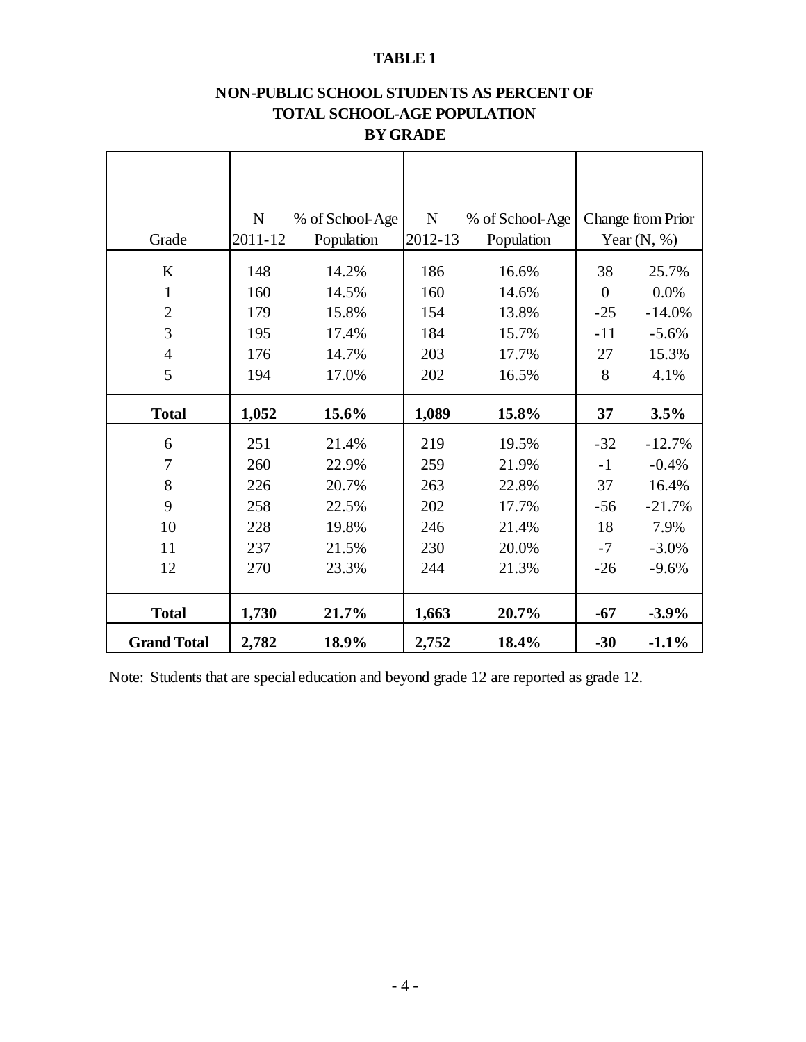### **TABLE 1**

## **NON-PUBLIC SCHOOL STUDENTS AS PERCENT OF TOTAL SCHOOL-AGE POPULATION BY GRADE**

| Grade              | ${\bf N}$<br>2011-12 | % of School-Age<br>Population | $\mathbf N$<br>2012-13 | % of School-Age<br>Population |                | Change from Prior<br>Year $(N, %)$ |
|--------------------|----------------------|-------------------------------|------------------------|-------------------------------|----------------|------------------------------------|
| $\bf K$            | 148                  | 14.2%                         | 186                    | 16.6%                         | 38             | 25.7%                              |
| 1                  | 160                  | 14.5%                         | 160                    | 14.6%                         | $\overline{0}$ | 0.0%                               |
| $\overline{2}$     | 179                  | 15.8%                         | 154                    | 13.8%                         | $-25$          | $-14.0%$                           |
| 3                  | 195                  | 17.4%                         | 184                    | 15.7%                         | $-11$          | $-5.6%$                            |
| $\overline{4}$     | 176                  | 14.7%                         | 203                    | 17.7%                         | 27             | 15.3%                              |
| 5                  | 194                  | 17.0%                         | 202                    | 16.5%                         | 8              | 4.1%                               |
| <b>Total</b>       | 1,052                | 15.6%                         | 1,089                  | 15.8%                         | 37             | 3.5%                               |
| 6                  | 251                  | 21.4%                         | 219                    | 19.5%                         | $-32$          | $-12.7%$                           |
| $\tau$             | 260                  | 22.9%                         | 259                    | 21.9%                         | $-1$           | $-0.4%$                            |
| 8                  | 226                  | 20.7%                         | 263                    | 22.8%                         | 37             | 16.4%                              |
| 9                  | 258                  | 22.5%                         | 202                    | 17.7%                         | $-56$          | $-21.7%$                           |
| 10                 | 228                  | 19.8%                         | 246                    | 21.4%                         | 18             | 7.9%                               |
| 11                 | 237                  | 21.5%                         | 230                    | 20.0%                         | $-7$           | $-3.0%$                            |
| 12                 | 270                  | 23.3%                         | 244                    | 21.3%                         | $-26$          | $-9.6%$                            |
| <b>Total</b>       | 1,730                | 21.7%                         | 1,663                  | 20.7%                         | $-67$          | $-3.9%$                            |
| <b>Grand Total</b> | 2,782                | 18.9%                         | 2,752                  | 18.4%                         | $-30$          | $-1.1%$                            |

Note: Students that are special education and beyond grade 12 are reported as grade 12.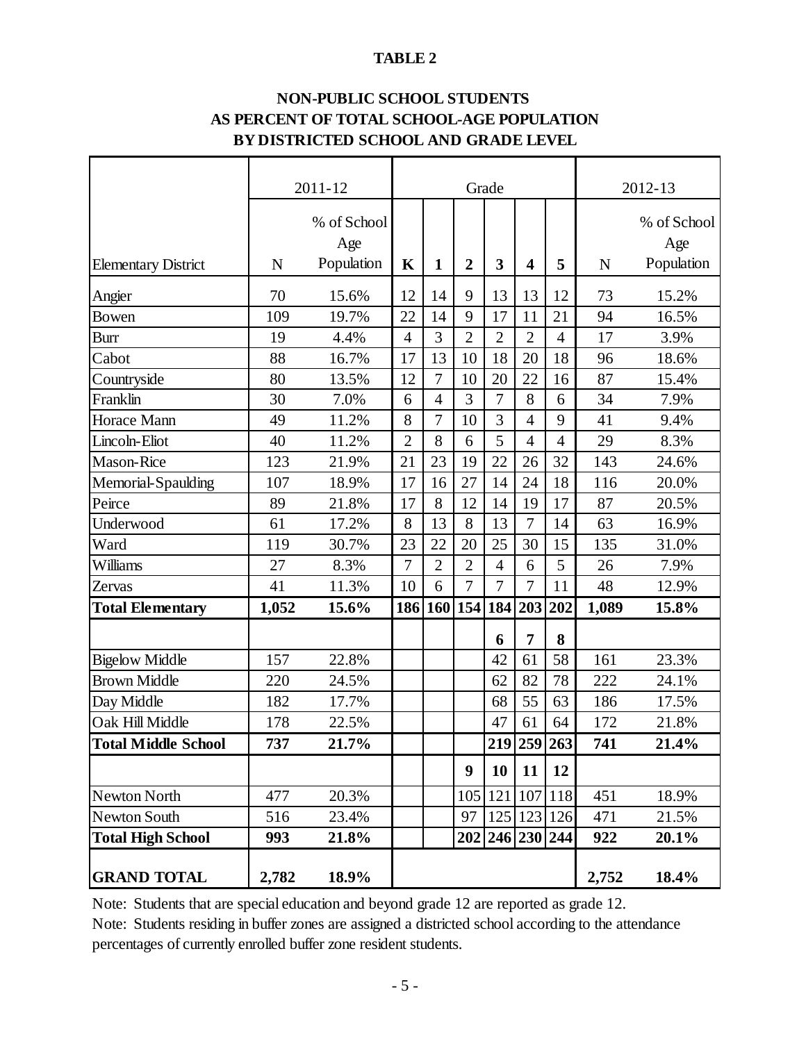#### **TABLE 2**

## **BY DISTRICTED SCHOOL AND GRADE LEVEL NON-PUBLIC SCHOOL STUDENTS AS PERCENT OF TOTAL SCHOOL-AGE POPULATION**

|                            |             | 2011-12<br>Grade |                |                |                 | 2012-13        |                         |                |             |             |
|----------------------------|-------------|------------------|----------------|----------------|-----------------|----------------|-------------------------|----------------|-------------|-------------|
|                            |             | % of School      |                |                |                 |                |                         |                |             | % of School |
|                            |             | Age              |                |                |                 |                |                         |                |             | Age         |
| <b>Elementary District</b> | $\mathbf N$ | Population       | $\mathbf K$    | $\mathbf{1}$   | $\overline{2}$  | 3              | $\overline{\mathbf{4}}$ | 5              | $\mathbf N$ | Population  |
| Angier                     | 70          | 15.6%            | 12             | 14             | 9               | 13             | 13                      | 12             | 73          | 15.2%       |
| <b>Bowen</b>               | 109         | 19.7%            | 22             | 14             | 9               | 17             | 11                      | 21             | 94          | 16.5%       |
| <b>Burr</b>                | 19          | 4.4%             | $\overline{4}$ | 3              | $\overline{2}$  | $\overline{2}$ | $\overline{2}$          | $\overline{4}$ | 17          | 3.9%        |
| Cabot                      | 88          | 16.7%            | 17             | 13             | 10              | 18             | 20                      | 18             | 96          | 18.6%       |
| Countryside                | 80          | 13.5%            | 12             | $\overline{7}$ | 10              | 20             | 22                      | 16             | 87          | 15.4%       |
| Franklin                   | 30          | 7.0%             | 6              | $\overline{4}$ | 3               | $\overline{7}$ | 8                       | 6              | 34          | 7.9%        |
| Horace Mann                | 49          | 11.2%            | 8              | 7              | 10              | 3              | $\overline{4}$          | 9              | 41          | 9.4%        |
| Lincoln-Eliot              | 40          | 11.2%            | $\overline{2}$ | 8              | 6               | 5              | $\overline{4}$          | $\overline{4}$ | 29          | 8.3%        |
| <b>Mason-Rice</b>          | 123         | 21.9%            | 21             | 23             | 19              | 22             | 26                      | 32             | 143         | 24.6%       |
| Memorial-Spaulding         | 107         | 18.9%            | 17             | 16             | 27              | 14             | 24                      | 18             | 116         | 20.0%       |
| Peirce                     | 89          | 21.8%            | 17             | 8              | 12              | 14             | 19                      | 17             | 87          | 20.5%       |
| Underwood                  | 61          | 17.2%            | 8              | 13             | 8               | 13             | $\overline{7}$          | 14             | 63          | 16.9%       |
| Ward                       | 119         | 30.7%            | 23             | 22             | 20              | 25             | 30                      | 15             | 135         | 31.0%       |
| Williams                   | 27          | 8.3%             | $\overline{7}$ | $\overline{2}$ | $\overline{2}$  | $\overline{4}$ | 6                       | 5              | 26          | 7.9%        |
| Zervas                     | 41          | 11.3%            | 10             | 6              | $\overline{7}$  | $\overline{7}$ | $\overline{7}$          | 11             | 48          | 12.9%       |
| <b>Total Elementary</b>    | 1,052       | 15.6%            | 186            |                | 160 154 184 203 |                |                         | 202            | 1,089       | 15.8%       |
|                            |             |                  |                |                |                 | 6              | $\overline{7}$          | 8              |             |             |
| <b>Bigelow Middle</b>      | 157         | 22.8%            |                |                |                 | 42             | 61                      | 58             | 161         | 23.3%       |
| <b>Brown Middle</b>        | 220         | 24.5%            |                |                |                 | 62             | 82                      | 78             | 222         | 24.1%       |
| Day Middle                 | 182         | 17.7%            |                |                |                 | 68             | 55                      | 63             | 186         | 17.5%       |
| Oak Hill Middle            | 178         | 22.5%            |                |                |                 | 47             | 61                      | 64             | 172         | 21.8%       |
| <b>Total Middle School</b> | 737         | 21.7%            |                |                |                 |                |                         | 219 259 263    | 741         | 21.4%       |
|                            |             |                  |                |                | 9               | 10             | 11                      | 12             |             |             |
| <b>Newton North</b>        | 477         | 20.3%            |                |                | 105             | 121            | 107                     | 118            | 451         | 18.9%       |
| <b>Newton South</b>        | 516         | 23.4%            |                |                | 97              |                | 125 123                 | 126            | 471         | 21.5%       |
| <b>Total High School</b>   | 993         | 21.8%            |                |                |                 |                | 202 246 230 244         |                | 922         | 20.1%       |
| <b>GRAND TOTAL</b>         | 2,782       | 18.9%            |                |                |                 |                |                         |                | 2,752       | 18.4%       |

Note: Students that are special education and beyond grade 12 are reported as grade 12.

Note: Students residing in buffer zones are assigned a districted school according to the attendance percentages of currently enrolled buffer zone resident students.